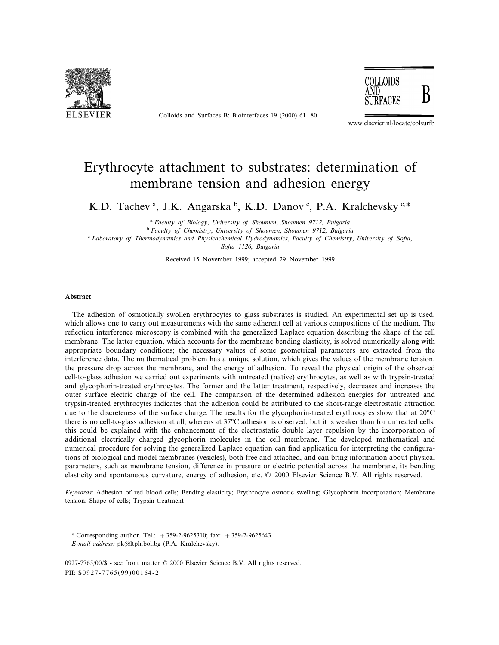

Colloids and Surfaces B: Biointerfaces 19 (2000) 61–80



www.elsevier.nl/locate/colsurfb

# Erythrocyte attachment to substrates: determination of membrane tension and adhesion energy

K.D. Tachev<sup>a</sup>, J.K. Angarska<sup>b</sup>, K.D. Danov<sup>c</sup>, P.A. Kralchevsky<sup>c,\*</sup>

<sup>a</sup> Faculty of Biology, University of Shoumen, Shoumen 9712, Bulgaria <sup>b</sup> Faculty of Chemistry, University of Shoumen, Shoumen 9712, Bulgaria <sup>c</sup> Laboratory of Thermodynamics and Physicochemical Hydrodynamics, Faculty of Chemistry, University of Sofia, Sofia 1126, Bulgaria

Received 15 November 1999; accepted 29 November 1999

#### Abstract

The adhesion of osmotically swollen erythrocytes to glass substrates is studied. An experimental set up is used, which allows one to carry out measurements with the same adherent cell at various compositions of the medium. The reflection interference microscopy is combined with the generalized Laplace equation describing the shape of the cell membrane. The latter equation, which accounts for the membrane bending elasticity, is solved numerically along with appropriate boundary conditions; the necessary values of some geometrical parameters are extracted from the interference data. The mathematical problem has a unique solution, which gives the values of the membrane tension, the pressure drop across the membrane, and the energy of adhesion. To reveal the physical origin of the observed cell-to-glass adhesion we carried out experiments with untreated (native) erythrocytes, as well as with trypsin-treated and glycophorin-treated erythrocytes. The former and the latter treatment, respectively, decreases and increases the outer surface electric charge of the cell. The comparison of the determined adhesion energies for untreated and trypsin-treated erythrocytes indicates that the adhesion could be attributed to the short-range electrostatic attraction due to the discreteness of the surface charge. The results for the glycophorin-treated erythrocytes show that at 20°C there is no cell-to-glass adhesion at all, whereas at 37°C adhesion is observed, but it is weaker than for untreated cells; this could be explained with the enhancement of the electrostatic double layer repulsion by the incorporation of additional electrically charged glycophorin molecules in the cell membrane. The developed mathematical and numerical procedure for solving the generalized Laplace equation can find application for interpreting the configurations of biological and model membranes (vesicles), both free and attached, and can bring information about physical parameters, such as membrane tension, difference in pressure or electric potential across the membrane, its bending elasticity and spontaneous curvature, energy of adhesion, etc. © 2000 Elsevier Science B.V. All rights reserved.

Keywords: Adhesion of red blood cells; Bending elasticity; Erythrocyte osmotic swelling; Glycophorin incorporation; Membrane tension; Shape of cells; Trypsin treatment

\* Corresponding author. Tel.:  $+359-2-9625310$ ; fax:  $+359-2-9625643$ . E-mail address: pk@ltph.bol.bg (P.A. Kralchevsky).

0927-7765/00/\$ - see front matter © 2000 Elsevier Science B.V. All rights reserved. PII: S0927-7765(99)00164-2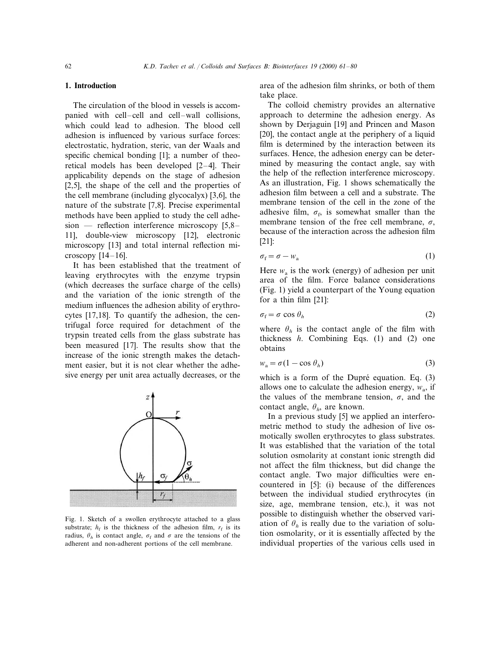# 1. Introduction

The circulation of the blood in vessels is accompanied with cell–cell and cell–wall collisions, which could lead to adhesion. The blood cell adhesion is influenced by various surface forces: electrostatic, hydration, steric, van der Waals and specific chemical bonding [1]; a number of theoretical models has been developed [2–4]. Their applicability depends on the stage of adhesion [2,5], the shape of the cell and the properties of the cell membrane (including glycocalyx) [3,6], the nature of the substrate [7,8]. Precise experimental methods have been applied to study the cell adhesion — reflection interference microscopy [5,8– 11], double-view microscopy [12], electronic microscopy [13] and total internal reflection microscopy  $[14–16]$ .

It has been established that the treatment of leaving erythrocytes with the enzyme trypsin (which decreases the surface charge of the cells) and the variation of the ionic strength of the medium influences the adhesion ability of erythrocytes [17,18]. To quantify the adhesion, the centrifugal force required for detachment of the trypsin treated cells from the glass substrate has been measured [17]. The results show that the increase of the ionic strength makes the detachment easier, but it is not clear whether the adhesive energy per unit area actually decreases, or the



Fig. 1. Sketch of a swollen erythrocyte attached to a glass substrate;  $h_f$  is the thickness of the adhesion film,  $r_f$  is its radius,  $\theta_h$  is contact angle,  $\sigma_f$  and  $\sigma$  are the tensions of the adherent and non-adherent portions of the cell membrane.

area of the adhesion film shrinks, or both of them take place.

The colloid chemistry provides an alternative approach to determine the adhesion energy. As shown by Derjaguin [19] and Princen and Mason [20], the contact angle at the periphery of a liquid film is determined by the interaction between its surfaces. Hence, the adhesion energy can be determined by measuring the contact angle, say with the help of the reflection interference microscopy. As an illustration, Fig. 1 shows schematically the adhesion film between a cell and a substrate. The membrane tension of the cell in the zone of the adhesive film,  $\sigma_f$ , is somewhat smaller than the membrane tension of the free cell membrane,  $\sigma$ , because of the interaction across the adhesion film [21]:

$$
\sigma_{\rm f} = \sigma - w_{\rm a} \tag{1}
$$

Here  $w_a$  is the work (energy) of adhesion per unit area of the film. Force balance considerations (Fig. 1) yield a counterpart of the Young equation for a thin film [21]:

$$
\sigma_{\rm f} = \sigma \cos \theta_h \tag{2}
$$

where  $\theta_h$  is the contact angle of the film with thickness  $h$ . Combining Eqs. (1) and (2) one obtains

$$
w_a = \sigma (1 - \cos \theta_h) \tag{3}
$$

which is a form of the Dupré equation. Eq.  $(3)$ allows one to calculate the adhesion energy,  $w_a$ , if the values of the membrane tension,  $\sigma$ , and the contact angle,  $\theta_h$ , are known.

In a previous study [5] we applied an interferometric method to study the adhesion of live osmotically swollen erythrocytes to glass substrates. It was established that the variation of the total solution osmolarity at constant ionic strength did not affect the film thickness, but did change the contact angle. Two major difficulties were encountered in [5]: (i) because of the differences between the individual studied erythrocytes (in size, age, membrane tension, etc.), it was not possible to distinguish whether the observed variation of  $\theta_h$  is really due to the variation of solution osmolarity, or it is essentially affected by the individual properties of the various cells used in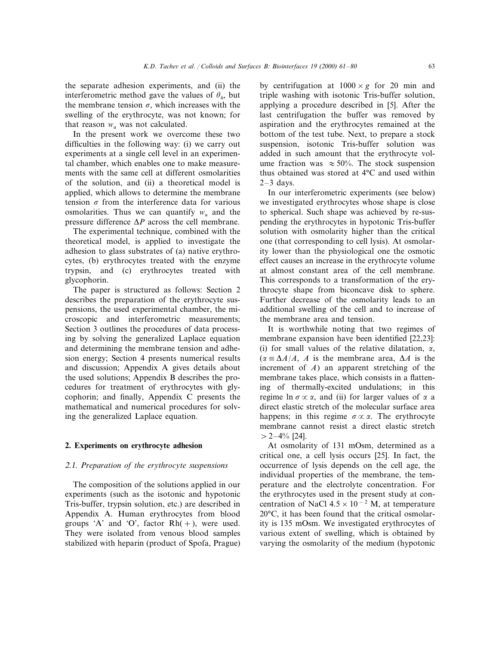the separate adhesion experiments, and (ii) the interferometric method gave the values of  $\theta_h$ , but the membrane tension  $\sigma$ , which increases with the swelling of the erythrocyte, was not known; for that reason  $w_a$  was not calculated.

In the present work we overcome these two difficulties in the following way: (i) we carry out experiments at a single cell level in an experimental chamber, which enables one to make measurements with the same cell at different osmolarities of the solution, and (ii) a theoretical model is applied, which allows to determine the membrane tension  $\sigma$  from the interference data for various osmolarities. Thus we can quantify  $w_a$  and the pressure difference  $\Delta P$  across the cell membrane.

The experimental technique, combined with the theoretical model, is applied to investigate the adhesion to glass substrates of (a) native erythrocytes, (b) erythrocytes treated with the enzyme trypsin, and (c) erythrocytes treated with glycophorin.

The paper is structured as follows: Section 2 describes the preparation of the erythrocyte suspensions, the used experimental chamber, the microscopic and interferometric measurements; Section 3 outlines the procedures of data processing by solving the generalized Laplace equation and determining the membrane tension and adhesion energy; Section 4 presents numerical results and discussion; Appendix A gives details about the used solutions; Appendix B describes the procedures for treatment of erythrocytes with glycophorin; and finally, Appendix C presents the mathematical and numerical procedures for solving the generalized Laplace equation.

## 2. Experiments on erythrocyte adhesion

# <sup>2</sup>.1. Preparation of the erythrocyte suspensions

The composition of the solutions applied in our experiments (such as the isotonic and hypotonic Tris-buffer, trypsin solution, etc.) are described in Appendix A. Human erythrocytes from blood groups 'A' and 'O', factor  $Rh(+)$ , were used. They were isolated from venous blood samples stabilized with heparin (product of Spofa, Prague) by centrifugation at  $1000 \times g$  for 20 min and triple washing with isotonic Tris-buffer solution, applying a procedure described in [5]. After the last centrifugation the buffer was removed by aspiration and the erythrocytes remained at the bottom of the test tube. Next, to prepare a stock suspension, isotonic Tris-buffer solution was added in such amount that the erythrocyte volume fraction was  $\approx 50\%$ . The stock suspension thus obtained was stored at 4°C and used within  $2-3$  days.

In our interferometric experiments (see below) we investigated erythrocytes whose shape is close to spherical. Such shape was achieved by re-suspending the erythrocytes in hypotonic Tris-buffer solution with osmolarity higher than the critical one (that corresponding to cell lysis). At osmolarity lower than the physiological one the osmotic effect causes an increase in the erythrocyte volume at almost constant area of the cell membrane. This corresponds to a transformation of the erythrocyte shape from biconcave disk to sphere. Further decrease of the osmolarity leads to an additional swelling of the cell and to increase of the membrane area and tension.

It is worthwhile noting that two regimes of membrane expansion have been identified [22,23]: (i) for small values of the relative dilatation,  $\alpha$ ,  $(\alpha \equiv \Delta A/A, A$  is the membrane area,  $\Delta A$  is the increment of  $A$ ) an apparent stretching of the membrane takes place, which consists in a flattening of thermally-excited undulations; in this regime ln  $\sigma \propto \alpha$ , and (ii) for larger values of  $\alpha$  a direct elastic stretch of the molecular surface area happens; in this regime  $\sigma \propto \alpha$ . The erythrocyte membrane cannot resist a direct elastic stretch  $>2-4\%$  [24].

At osmolarity of 131 mOsm, determined as a critical one, a cell lysis occurs [25]. In fact, the occurrence of lysis depends on the cell age, the individual properties of the membrane, the temperature and the electrolyte concentration. For the erythrocytes used in the present study at concentration of NaCl  $4.5 \times 10^{-2}$  M, at temperature 20°C, it has been found that the critical osmolarity is 135 mOsm. We investigated erythrocytes of various extent of swelling, which is obtained by varying the osmolarity of the medium (hypotonic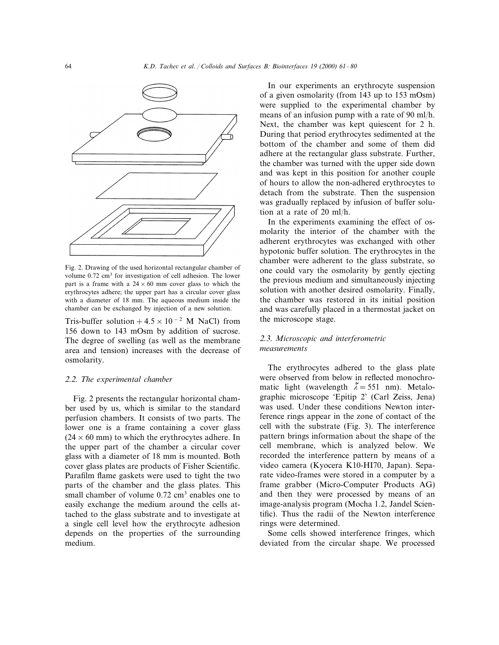

Fig. 2. Drawing of the used horizontal rectangular chamber of volume 0.72 cm<sup>3</sup> for investigation of cell adhesion. The lower part is a frame with a  $24 \times 60$  mm cover glass to which the erythrocytes adhere; the upper part has a circular cover glass with a diameter of 18 mm. The aqueous medium inside the chamber can be exchanged by injection of a new solution.

Tris-buffer solution +  $4.5 \times 10^{-2}$  M NaCl) from 156 down to 143 mOsm by addition of sucrose. The degree of swelling (as well as the membrane area and tension) increases with the decrease of osmolarity.

## <sup>2</sup>.2. The experimental chamber

Fig. 2 presents the rectangular horizontal chamber used by us, which is similar to the standard perfusion chambers. It consists of two parts. The lower one is a frame containing a cover glass  $(24 \times 60 \text{ mm})$  to which the erythrocytes adhere. In the upper part of the chamber a circular cover glass with a diameter of 18 mm is mounted. Both cover glass plates are products of Fisher Scientific. Parafilm flame gaskets were used to tight the two parts of the chamber and the glass plates. This small chamber of volume 0.72 cm<sup>3</sup> enables one to easily exchange the medium around the cells attached to the glass substrate and to investigate at a single cell level how the erythrocyte adhesion depends on the properties of the surrounding medium.

In our experiments an erythrocyte suspension of a given osmolarity (from 143 up to 153 mOsm) were supplied to the experimental chamber by means of an infusion pump with a rate of 90 ml/h. Next, the chamber was kept quiescent for 2 h. During that period erythrocytes sedimented at the bottom of the chamber and some of them did adhere at the rectangular glass substrate. Further, the chamber was turned with the upper side down and was kept in this position for another couple of hours to allow the non-adhered erythrocytes to detach from the substrate. Then the suspension was gradually replaced by infusion of buffer solution at a rate of 20 ml/h.

In the experiments examining the effect of osmolarity the interior of the chamber with the adherent erythrocytes was exchanged with other hypotonic buffer solution. The erythrocytes in the chamber were adherent to the glass substrate, so one could vary the osmolarity by gently ejecting the previous medium and simultaneously injecting solution with another desired osmolarity. Finally, the chamber was restored in its initial position and was carefully placed in a thermostat jacket on the microscope stage.

# <sup>2</sup>.3. Microscopic and interferometric measurements

The erythrocytes adhered to the glass plate were observed from below in reflected monochromatic light (wavelength  $\tilde{\lambda} = 551$  nm). Metalographic microscope 'Epitip 2' (Carl Zeiss, Jena) was used. Under these conditions Newton interference rings appear in the zone of contact of the cell with the substrate (Fig. 3). The interference pattern brings information about the shape of the cell membrane, which is analyzed below. We recorded the interference pattern by means of a video camera (Kyocera K10-HI70, Japan). Separate video-frames were stored in a computer by a frame grabber (Micro-Computer Products AG) and then they were processed by means of an image-analysis program (Mocha 1.2, Jandel Scientific). Thus the radii of the Newton interference rings were determined.

Some cells showed interference fringes, which deviated from the circular shape. We processed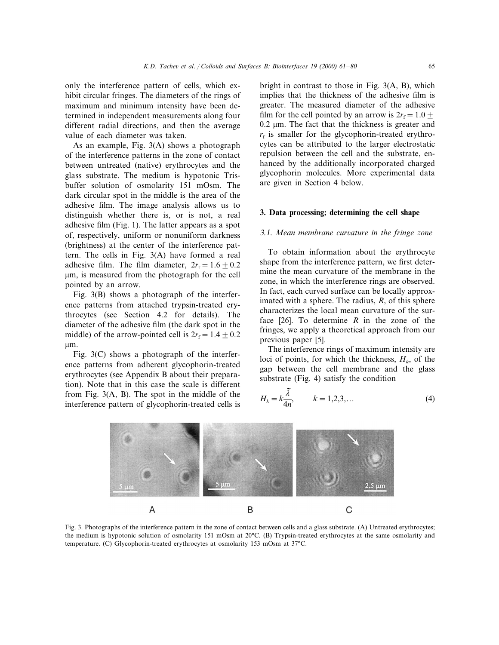only the interference pattern of cells, which exhibit circular fringes. The diameters of the rings of maximum and minimum intensity have been determined in independent measurements along four different radial directions, and then the average value of each diameter was taken.

As an example, Fig. 3(A) shows a photograph of the interference patterns in the zone of contact between untreated (native) erythrocytes and the glass substrate. The medium is hypotonic Trisbuffer solution of osmolarity 151 mOsm. The dark circular spot in the middle is the area of the adhesive film. The image analysis allows us to distinguish whether there is, or is not, a real adhesive film (Fig. 1). The latter appears as a spot of, respectively, uniform or nonuniform darkness (brightness) at the center of the interference pattern. The cells in Fig. 3(A) have formed a real adhesive film. The film diameter,  $2r_f=1.6\pm0.2$ mm, is measured from the photograph for the cell pointed by an arrow.

Fig. 3(B) shows a photograph of the interference patterns from attached trypsin-treated erythrocytes (see Section 4.2 for details). The diameter of the adhesive film (the dark spot in the middle) of the arrow-pointed cell is  $2r_f=1.4\pm0.2$  $\mu$ m.

Fig. 3(C) shows a photograph of the interference patterns from adherent glycophorin-treated erythrocytes (see Appendix B about their preparation). Note that in this case the scale is different from Fig. 3(A, B). The spot in the middle of the interference pattern of glycophorin-treated cells is

bright in contrast to those in Fig. 3(A, B), which implies that the thickness of the adhesive film is greater. The measured diameter of the adhesive film for the cell pointed by an arrow is  $2r_f=1.0\pm$  $0.2 \mu m$ . The fact that the thickness is greater and  $r_f$  is smaller for the glycophorin-treated erythrocytes can be attributed to the larger electrostatic repulsion between the cell and the substrate, enhanced by the additionally incorporated charged glycophorin molecules. More experimental data are given in Section 4 below.

## 3. Data processing; determining the cell shape

## $3.1.$  Mean membrane curvature in the fringe zone

To obtain information about the erythrocyte shape from the interference pattern, we first determine the mean curvature of the membrane in the zone, in which the interference rings are observed. In fact, each curved surface can be locally approximated with a sphere. The radius,  $R$ , of this sphere characterizes the local mean curvature of the surface [26]. To determine  $R$  in the zone of the fringes, we apply a theoretical approach from our previous paper [5].

The interference rings of maximum intensity are loci of points, for which the thickness,  $H_k$ , of the gap between the cell membrane and the glass substrate (Fig. 4) satisfy the condition

$$
H_k = k \frac{\tilde{\lambda}}{4n}, \qquad k = 1, 2, 3, \dots \tag{4}
$$



Fig. 3. Photographs of the interference pattern in the zone of contact between cells and a glass substrate. (A) Untreated erythrocytes; the medium is hypotonic solution of osmolarity 151 mOsm at 20°C. (B) Trypsin-treated erythrocytes at the same osmolarity and temperature. (C) Glycophorin-treated erythrocytes at osmolarity 153 mOsm at 37°C.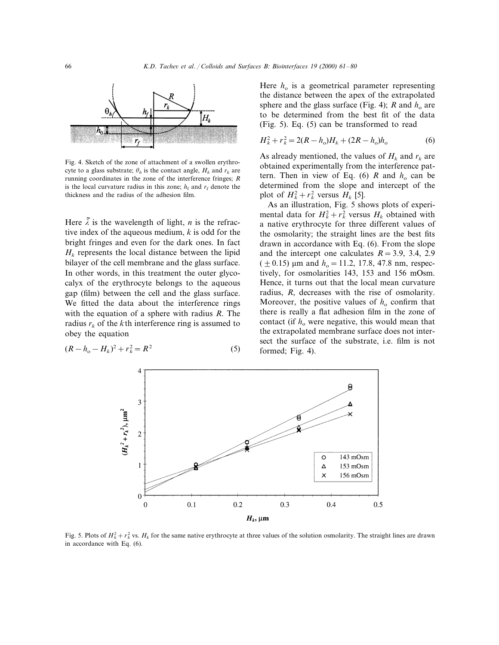

Fig. 4. Sketch of the zone of attachment of a swollen erythrocyte to a glass substrate;  $\theta_h$  is the contact angle,  $H_k$  and  $r_k$  are running coordinates in the zone of the interference fringes;  $R$ is the local curvature radius in this zone;  $h_f$  and  $r_f$  denote the thickness and the radius of the adhesion film.

Here  $\lambda$  is the wavelength of light, n is the refractive index of the aqueous medium,  $k$  is odd for the bright fringes and even for the dark ones. In fact  $H_k$  represents the local distance between the lipid bilayer of the cell membrane and the glass surface. In other words, in this treatment the outer glycocalyx of the erythrocyte belongs to the aqueous gap (film) between the cell and the glass surface. We fitted the data about the interference rings with the equation of a sphere with radius  $R$ . The radius  $r_k$  of the kth interference ring is assumed to obey the equation

$$
(R - ho - Hk)2 + rk2 = R2
$$
 (5)

Here  $h_0$  is a geometrical parameter representing the distance between the apex of the extrapolated sphere and the glass surface (Fig. 4); R and  $h_0$  are to be determined from the best fit of the data (Fig. 5). Eq. (5) can be transformed to read

$$
H_k^2 + r_k^2 = 2(R - h_0)H_k + (2R - h_0)h_0
$$
 (6)

As already mentioned, the values of  $H_k$  and  $r_k$  are obtained experimentally from the interference pattern. Then in view of Eq. (6) R and  $h_0$  can be determined from the slope and intercept of the plot of  $H_k^2 + r_k^2$  versus  $H_k$  [5].

As an illustration, Fig. 5 shows plots of experimental data for  $H_k^2 + r_k^2$  versus  $H_k$  obtained with a native erythrocyte for three different values of the osmolarity; the straight lines are the best fits drawn in accordance with Eq. (6). From the slope and the intercept one calculates  $R = 3.9, 3.4, 2.9$  $(\pm 0.15)$  µm and  $h<sub>o</sub> = 11.2, 17.8, 47.8$  nm, respectively, for osmolarities 143, 153 and 156 mOsm. Hence, it turns out that the local mean curvature radius, R, decreases with the rise of osmolarity. Moreover, the positive values of  $h_0$  confirm that there is really a flat adhesion film in the zone of contact (if  $h_0$  were negative, this would mean that the extrapolated membrane surface does not intersect the surface of the substrate, i.e. film is not formed; Fig. 4).



Fig. 5. Plots of  $H_k^2 + r_k^2$  vs.  $H_k$  for the same native erythrocyte at three values of the solution osmolarity. The straight lines are drawn in accordance with Eq. (6).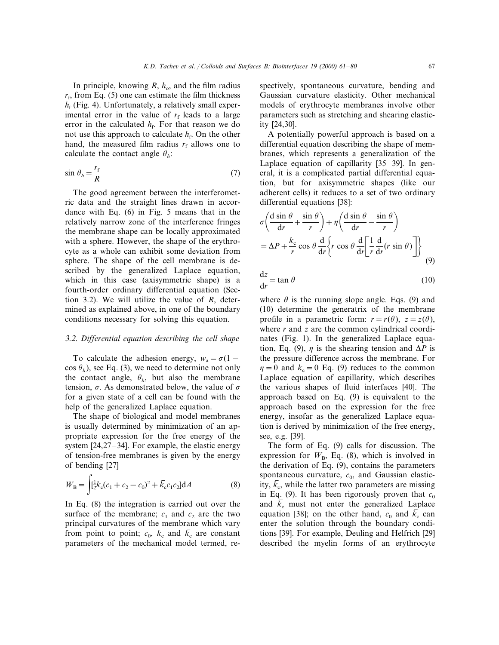In principle, knowing  $R$ ,  $h_0$ , and the film radius  $r_f$ , from Eq. (5) one can estimate the film thickness  $h_f$  (Fig. 4). Unfortunately, a relatively small experimental error in the value of  $r_f$  leads to a large error in the calculated  $h_f$ . For that reason we do not use this approach to calculate  $h_f$ . On the other hand, the measured film radius  $r_f$  allows one to calculate the contact angle  $\theta_h$ :

$$
\sin \theta_h = \frac{r_\text{f}}{R} \tag{7}
$$

The good agreement between the interferometric data and the straight lines drawn in accordance with Eq. (6) in Fig. 5 means that in the relatively narrow zone of the interference fringes the membrane shape can be locally approximated with a sphere. However, the shape of the erythrocyte as a whole can exhibit some deviation from sphere. The shape of the cell membrane is described by the generalized Laplace equation, which in this case (axisymmetric shape) is a fourth-order ordinary differential equation (Section 3.2). We will utilize the value of  $R$ , determined as explained above, in one of the boundary conditions necessary for solving this equation.

## 3.2. Differential equation describing the cell shape

To calculate the adhesion energy,  $w_a = \sigma(1 - \sigma)$  $\cos \theta_h$ ), see Eq. (3), we need to determine not only the contact angle,  $\theta_h$ , but also the membrane tension,  $\sigma$ . As demonstrated below, the value of  $\sigma$ for a given state of a cell can be found with the help of the generalized Laplace equation.

The shape of biological and model membranes is usually determined by minimization of an appropriate expression for the free energy of the system [24,27–34]. For example, the elastic energy of tension-free membranes is given by the energy of bending [27]

$$
W_{\rm B} = \int [\frac{1}{2}k_{\rm c}(c_1 + c_2 - c_0)^2 + \bar{k}_{\rm c}c_1c_2]dA \tag{8}
$$

In Eq. (8) the integration is carried out over the surface of the membrane;  $c_1$  and  $c_2$  are the two principal curvatures of the membrane which vary from point to point;  $c_0$ ,  $k_c$  and  $\bar{k}_c$  are constant parameters of the mechanical model termed, respectively, spontaneous curvature, bending and Gaussian curvature elasticity. Other mechanical models of erythrocyte membranes involve other parameters such as stretching and shearing elasticity [24,30].

A potentially powerful approach is based on a differential equation describing the shape of membranes, which represents a generalization of the Laplace equation of capillarity [35–39]. In general, it is a complicated partial differential equation, but for axisymmetric shapes (like our adherent cells) it reduces to a set of two ordinary differential equations [38]:

$$
\sigma \left( \frac{d \sin \theta}{dr} + \frac{\sin \theta}{r} \right) + \eta \left( \frac{d \sin \theta}{dr} - \frac{\sin \theta}{r} \right)
$$
  
=  $\Delta P + \frac{k_c}{r} \cos \theta \frac{d}{dr} \left\{ r \cos \theta \frac{d}{dr} \left[ \frac{1}{r} \frac{d}{dr} (r \sin \theta) \right] \right\}$  (9)

$$
\frac{\mathrm{d}z}{\mathrm{d}r} = \tan \theta \tag{10}
$$

where  $\theta$  is the running slope angle. Eqs. (9) and (10) determine the generatrix of the membrane profile in a parametric form:  $r = r(\theta)$ ,  $z = z(\theta)$ , where  $r$  and  $z$  are the common cylindrical coordinates (Fig. 1). In the generalized Laplace equation, Eq. (9),  $\eta$  is the shearing tension and  $\Delta P$  is the pressure difference across the membrane. For  $\eta=0$  and  $k_c=0$  Eq. (9) reduces to the common Laplace equation of capillarity, which describes the various shapes of fluid interfaces [40]. The approach based on Eq. (9) is equivalent to the approach based on the expression for the free energy, insofar as the generalized Laplace equation is derived by minimization of the free energy, see, e.g. [39].

The form of Eq. (9) calls for discussion. The expression for  $W_{\text{B}}$ , Eq. (8), which is involved in the derivation of Eq. (9), contains the parameters spontaneous curvature,  $c_0$ , and Gaussian elasticity,  $\bar{k_c}$ , while the latter two parameters are missing in Eq. (9). It has been rigorously proven that  $c_0$ and  $k<sub>c</sub>$  must not enter the generalized Laplace equation [38]; on the other hand,  $c_0$  and  $\overline{k_c}$  can enter the solution through the boundary conditions [39]. For example, Deuling and Helfrich [29] described the myelin forms of an erythrocyte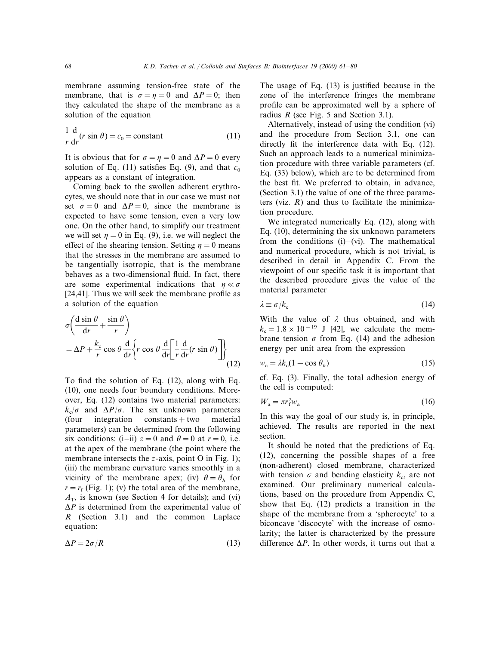membrane assuming tension-free state of the membrane, that is  $\sigma=\eta=0$  and  $\Delta P=0$ ; then they calculated the shape of the membrane as a solution of the equation

$$
\frac{1}{r}\frac{d}{dr}(r\sin\theta) = c_0 = \text{constant} \tag{11}
$$

It is obvious that for  $\sigma = \eta = 0$  and  $\Delta P = 0$  every solution of Eq. (11) satisfies Eq. (9), and that  $c_0$ appears as a constant of integration.

Coming back to the swollen adherent erythrocytes, we should note that in our case we must not set  $\sigma=0$  and  $\Delta P=0$ , since the membrane is expected to have some tension, even a very low one. On the other hand, to simplify our treatment we will set  $\eta=0$  in Eq. (9), i.e. we will neglect the effect of the shearing tension. Setting  $n=0$  means that the stresses in the membrane are assumed to be tangentially isotropic, that is the membrane behaves as a two-dimensional fluid. In fact, there are some experimental indications that  $\eta \ll \sigma$ [24,41]. Thus we will seek the membrane profile as a solution of the equation

$$
\sigma \left( \frac{d \sin \theta}{dr} + \frac{\sin \theta}{r} \right)
$$
  
=  $\Delta P + \frac{k_c}{r} \cos \theta \frac{d}{dr} \left\{ r \cos \theta \frac{d}{dr} \left[ \frac{1}{r} \frac{d}{dr} (r \sin \theta) \right] \right\}$  (12)

To find the solution of Eq. (12), along with Eq. (10), one needs four boundary conditions. Moreover, Eq. (12) contains two material parameters:  $k_c/\sigma$  and  $\Delta P/\sigma$ . The six unknown parameters  $(four$  integration constants + two material parameters) can be determined from the following six conditions: (i–ii)  $z=0$  and  $\theta=0$  at  $r=0$ , i.e. at the apex of the membrane (the point where the membrane intersects the  $z$ -axis, point O in Fig. 1); (iii) the membrane curvature varies smoothly in a vicinity of the membrane apex; (iv)  $\theta = \theta_h$  for  $r = r_f$  (Fig. 1); (v) the total area of the membrane,  $A<sub>T</sub>$ , is known (see Section 4 for details); and (vi)  $\Delta P$  is determined from the experimental value of R (Section 3.1) and the common Laplace equation:

$$
\Delta P = 2\sigma/R \tag{13}
$$

The usage of Eq. (13) is justified because in the zone of the interference fringes the membrane profile can be approximated well by a sphere of radius  $R$  (see Fig. 5 and Section 3.1).

Alternatively, instead of using the condition (vi) and the procedure from Section 3.1, one can directly fit the interference data with Eq. (12). Such an approach leads to a numerical minimization procedure with three variable parameters (cf. Eq. (33) below), which are to be determined from the best fit. We preferred to obtain, in advance, (Section 3.1) the value of one of the three parameters (viz.  $R$ ) and thus to facilitate the minimization procedure.

We integrated numerically Eq. (12), along with Eq. (10), determining the six unknown parameters from the conditions  $(i)$ – $(vi)$ . The mathematical and numerical procedure, which is not trivial, is described in detail in Appendix C. From the viewpoint of our specific task it is important that the described procedure gives the value of the material parameter

$$
\lambda \equiv \sigma / k_{\rm c} \tag{14}
$$

With the value of  $\lambda$  thus obtained, and with  $k_c=1.8\times10^{-19}$  J [42], we calculate the membrane tension  $\sigma$  from Eq. (14) and the adhesion energy per unit area from the expression

$$
w_a = \lambda k_c (1 - \cos \theta_h) \tag{15}
$$

cf. Eq. (3). Finally, the total adhesion energy of the cell is computed:

$$
W_{\rm a} = \pi r_{\rm f}^2 w_{\rm a} \tag{16}
$$

In this way the goal of our study is, in principle, achieved. The results are reported in the next section.

It should be noted that the predictions of Eq. (12), concerning the possible shapes of a free (non-adherent) closed membrane, characterized with tension  $\sigma$  and bending elasticity  $k_c$ , are not examined. Our preliminary numerical calculations, based on the procedure from Appendix C, show that Eq. (12) predicts a transition in the shape of the membrane from a 'spherocyte' to a biconcave 'discocyte' with the increase of osmolarity; the latter is characterized by the pressure difference  $\Delta P$ . In other words, it turns out that a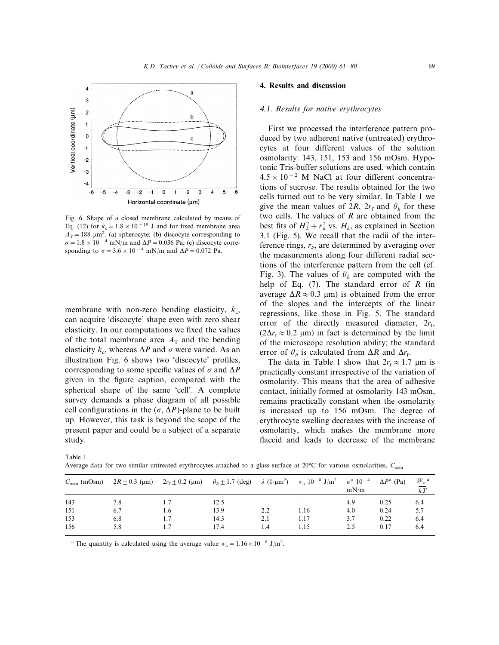

Fig. 6. Shape of a closed membrane calculated by means of Eq. (12) for  $k_c=1.8\times10^{-19}$  J and for fixed membrane area  $A_T = 188 \text{ }\mu\text{m}^2$ . (a) spherocyte; (b) discocyte corresponding to  $\sigma = 1.8 \times 10^{-4}$  mN/m and  $\Delta P = 0.036$  Pa; (c) discocyte corresponding to  $\sigma = 3.6 \times 10^{-4}$  mN/m and  $\Delta P = 0.072$  Pa.

membrane with non-zero bending elasticity,  $k_c$ , can acquire 'discocyte' shape even with zero shear elasticity. In our computations we fixed the values of the total membrane area  $A<sub>T</sub>$  and the bending elasticity  $k_c$ , whereas  $\Delta P$  and  $\sigma$  were varied. As an illustration Fig. 6 shows two 'discocyte' profiles, corresponding to some specific values of  $\sigma$  and  $\Delta P$ given in the figure caption, compared with the spherical shape of the same 'cell'. A complete survey demands a phase diagram of all possible cell configurations in the  $(\sigma, \Delta P)$ -plane to be built up. However, this task is beyond the scope of the present paper and could be a subject of a separate study.

## 4. Results and discussion

#### 4.1. Results for native erythrocytes

First we processed the interference pattern produced by two adherent native (untreated) erythrocytes at four different values of the solution osmolarity: 143, 151, 153 and 156 mOsm. Hypotonic Tris-buffer solutions are used, which contain  $4.5 \times 10^{-2}$  M NaCl at four different concentrations of sucrose. The results obtained for the two cells turned out to be very similar. In Table 1 we give the mean values of 2R,  $2r_f$  and  $\theta_h$  for these two cells. The values of  $R$  are obtained from the best fits of  $H_k^2 + r_k^2$  vs.  $H_k$ , as explained in Section 3.1 (Fig. 5). We recall that the radii of the interference rings,  $r_k$ , are determined by averaging over the measurements along four different radial sections of the interference pattern from the cell (cf. Fig. 3). The values of  $\theta_h$  are computed with the help of Eq.  $(7)$ . The standard error of R (in average  $\Delta R \approx 0.3$  µm) is obtained from the error of the slopes and the intercepts of the linear regressions, like those in Fig. 5. The standard error of the directly measured diameter,  $2r_f$ ,  $(2\Delta r_f \approx 0.2 \mu m)$  in fact is determined by the limit of the microscope resolution ability; the standard error of  $\theta_h$  is calculated from  $\Delta R$  and  $\Delta r_f$ .

The data in Table 1 show that  $2r_f \approx 1.7$  µm is practically constant irrespective of the variation of osmolarity. This means that the area of adhesive contact, initially formed at osmolarity 143 mOsm, remains practically constant when the osmolarity is increased up to 156 mOsm. The degree of erythrocyte swelling decreases with the increase of osmolarity, which makes the membrane more flaccid and leads to decrease of the membrane

| n<br>ı |  |
|--------|--|
|--------|--|

Average data for two similar untreated erythrocytes attached to a glass surface at  $20^{\circ}$ C for various osmolarities,  $C_{\text{osm}}$ 

| $C_{\rm osm}$ (mOsm) |     | $2R \pm 0.3$ (µm) $2r_f \pm 0.2$ (µm) $\theta_h \pm 1.7$ (deg) |      |     | $\lambda$ (1/μm <sup>2</sup> ) = $w_a$ 10 <sup>-8</sup> J/m <sup>2</sup> = $\sigma^a$ 10 <sup>-4</sup> | mN/m | $\Delta P^{\rm a}$ (Pa) | $W_{\rm a}^{\rm a}$<br>kT |
|----------------------|-----|----------------------------------------------------------------|------|-----|--------------------------------------------------------------------------------------------------------|------|-------------------------|---------------------------|
| 143                  | 7.8 |                                                                | 12.5 |     | $\overline{\phantom{a}}$                                                                               | 4.9  | 0.25                    | 6.4                       |
| 151                  | 6.7 | 1.6                                                            | 13.9 | 2.2 | 1.16                                                                                                   | 4.0  | 0.24                    | 5.7                       |
| 153                  | 6.8 |                                                                | 14.3 | 2.1 | 1.17                                                                                                   | 3.7  | 0.22                    | 6.4                       |
| 156                  | 5.8 |                                                                | 17.4 | 1.4 | 1.15                                                                                                   | 2.5  | 0.17                    | 6.4                       |

<sup>a</sup> The quantity is calculated using the average value  $w_a = 1.16 \times 10^{-8}$  J/m<sup>2</sup>.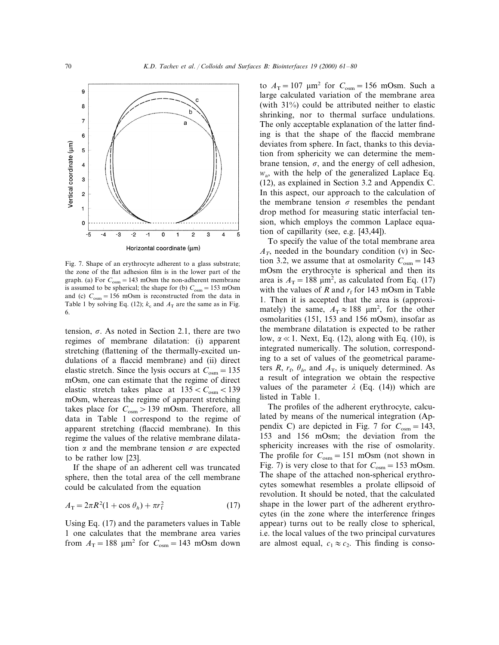

Fig. 7. Shape of an erythrocyte adherent to a glass substrate; the zone of the flat adhesion film is in the lower part of the graph. (a) For  $C_{\text{osm}}=143$  mOsm the non-adherent membrane is assumed to be spherical; the shape for (b)  $C_{\text{osm}}=153 \text{ mOsm}$ and (c)  $C_{\text{osm}}=156$  mOsm is reconstructed from the data in Table 1 by solving Eq. (12);  $k_c$  and  $A_T$  are the same as in Fig. 6.

tension,  $\sigma$ . As noted in Section 2.1, there are two regimes of membrane dilatation: (i) apparent stretching (flattening of the thermally-excited undulations of a flaccid membrane) and (ii) direct elastic stretch. Since the lysis occurs at  $C_{\text{osm}}=135$ mOsm, one can estimate that the regime of direct elastic stretch takes place at  $135 < C_{\text{osm}} < 139$ mOsm, whereas the regime of apparent stretching takes place for  $C_{\text{osm}} > 139$  mOsm. Therefore, all data in Table 1 correspond to the regime of apparent stretching (flaccid membrane). In this regime the values of the relative membrane dilatation  $\alpha$  and the membrane tension  $\sigma$  are expected to be rather low [23].

If the shape of an adherent cell was truncated sphere, then the total area of the cell membrane could be calculated from the equation

$$
A_{\rm T} = 2\pi R^2 (1 + \cos \theta_h) + \pi r_{\rm f}^2 \tag{17}
$$

Using Eq. (17) and the parameters values in Table 1 one calculates that the membrane area varies from  $A_T = 188 \mu m^2$  for  $C_{\text{osm}} = 143 \text{ mOsm}$  down

to  $A_T = 107 \text{ }\mu\text{m}^2$  for  $C_{\text{osm}} = 156 \text{ mOsm}$ . Such a large calculated variation of the membrane area (with 31%) could be attributed neither to elastic shrinking, nor to thermal surface undulations. The only acceptable explanation of the latter finding is that the shape of the flaccid membrane deviates from sphere. In fact, thanks to this deviation from sphericity we can determine the membrane tension,  $\sigma$ , and the energy of cell adhesion,  $w_a$ , with the help of the generalized Laplace Eq. (12), as explained in Section 3.2 and Appendix C. In this aspect, our approach to the calculation of the membrane tension  $\sigma$  resembles the pendant drop method for measuring static interfacial tension, which employs the common Laplace equation of capillarity (see, e.g. [43,44]).

To specify the value of the total membrane area  $A_T$ , needed in the boundary condition (v) in Section 3.2, we assume that at osmolarity  $C_{\text{osm}}=143$ mOsm the erythrocyte is spherical and then its area is  $A_T = 188 \text{ }\mu\text{m}^2$ , as calculated from Eq. (17) with the values of R and  $r_f$  for 143 mOsm in Table 1. Then it is accepted that the area is (approximately) the same,  $A_T \approx 188 \mu m^2$ , for the other osmolarities (151, 153 and 156 mOsm), insofar as the membrane dilatation is expected to be rather low,  $\alpha \ll 1$ . Next, Eq. (12), along with Eq. (10), is integrated numerically. The solution, corresponding to a set of values of the geometrical parameters R,  $r_f$ ,  $\theta_h$ , and  $A_T$ , is uniquely determined. As a result of integration we obtain the respective values of the parameter  $\lambda$  (Eq. (14)) which are listed in Table 1.

The profiles of the adherent erythrocyte, calculated by means of the numerical integration (Appendix C) are depicted in Fig. 7 for  $C_{\text{osm}}=143$ , 153 and 156 mOsm; the deviation from the sphericity increases with the rise of osmolarity. The profile for  $C_{\text{osm}}=151$  mOsm (not shown in Fig. 7) is very close to that for  $C_{\text{osm}}=153$  mOsm. The shape of the attached non-spherical erythrocytes somewhat resembles a prolate ellipsoid of revolution. It should be noted, that the calculated shape in the lower part of the adherent erythrocytes (in the zone where the interference fringes appear) turns out to be really close to spherical, i.e. the local values of the two principal curvatures are almost equal,  $c_1 \approx c_2$ . This finding is conso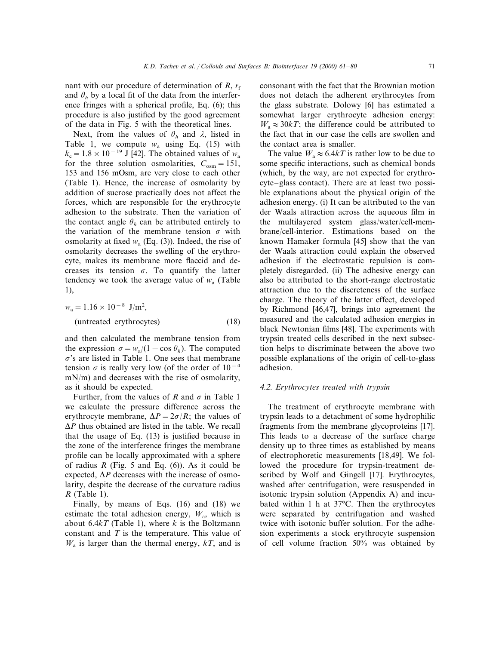nant with our procedure of determination of R,  $r_f$ and  $\theta_h$  by a local fit of the data from the interference fringes with a spherical profile, Eq. (6); this procedure is also justified by the good agreement of the data in Fig. 5 with the theoretical lines.

Next, from the values of  $\theta_h$  and  $\lambda$ , listed in Table 1, we compute  $w_a$  using Eq. (15) with  $k_c=1.8\times10^{-19}$  J [42]. The obtained values of  $w_a$ for the three solution osmolarities,  $C_{\text{osm}}=151$ , 153 and 156 mOsm, are very close to each other (Table 1). Hence, the increase of osmolarity by addition of sucrose practically does not affect the forces, which are responsible for the erythrocyte adhesion to the substrate. Then the variation of the contact angle  $\theta_h$  can be attributed entirely to the variation of the membrane tension  $\sigma$  with osmolarity at fixed  $w_a$  (Eq. (3)). Indeed, the rise of osmolarity decreases the swelling of the erythrocyte, makes its membrane more flaccid and decreases its tension  $\sigma$ . To quantify the latter tendency we took the average value of  $w_a$  (Table 1),

$$
w_a = 1.16 \times 10^{-8} \text{ J/m}^2,
$$
  
(untreated erythrocytes) \t(18)

and then calculated the membrane tension from the expression  $\sigma = w_a/(1 - \cos \theta_h)$ . The computed  $\sigma$ 's are listed in Table 1. One sees that membrane tension  $\sigma$  is really very low (of the order of 10<sup>-4</sup>  $mN/m$ ) and decreases with the rise of osmolarity, as it should be expected.

Further, from the values of R and  $\sigma$  in Table 1 we calculate the pressure difference across the erythrocyte membrane,  $\Delta P = 2\sigma/R$ ; the values of  $\Delta P$  thus obtained are listed in the table. We recall that the usage of Eq. (13) is justified because in the zone of the interference fringes the membrane profile can be locally approximated with a sphere of radius  $R$  (Fig. 5 and Eq. (6)). As it could be expected,  $\Delta P$  decreases with the increase of osmolarity, despite the decrease of the curvature radius  $R$  (Table 1).

Finally, by means of Eqs. (16) and (18) we estimate the total adhesion energy,  $W_a$ , which is about 6.4 $kT$  (Table 1), where k is the Boltzmann constant and  $T$  is the temperature. This value of  $W_a$  is larger than the thermal energy,  $kT$ , and is

consonant with the fact that the Brownian motion does not detach the adherent erythrocytes from the glass substrate. Dolowy [6] has estimated a somewhat larger erythrocyte adhesion energy:  $W_a \approx 30kT$ ; the difference could be attributed to the fact that in our case the cells are swollen and the contact area is smaller.

The value  $W_a \approx 6.4kT$  is rather low to be due to some specific interactions, such as chemical bonds (which, by the way, are not expected for erythrocyte–glass contact). There are at least two possible explanations about the physical origin of the adhesion energy. (i) It can be attributed to the van der Waals attraction across the aqueous film in the multilayered system glass/water/cell-membrane/cell-interior. Estimations based on the known Hamaker formula [45] show that the van der Waals attraction could explain the observed adhesion if the electrostatic repulsion is completely disregarded. (ii) The adhesive energy can also be attributed to the short-range electrostatic attraction due to the discreteness of the surface charge. The theory of the latter effect, developed by Richmond [46,47], brings into agreement the measured and the calculated adhesion energies in black Newtonian films [48]. The experiments with trypsin treated cells described in the next subsection helps to discriminate between the above two possible explanations of the origin of cell-to-glass adhesion.

## <sup>4</sup>.2. Erythrocytes treated with trypsin

The treatment of erythrocyte membrane with trypsin leads to a detachment of some hydrophilic fragments from the membrane glycoproteins [17]. This leads to a decrease of the surface charge density up to three times as established by means of electrophoretic measurements [18,49]. We followed the procedure for trypsin-treatment described by Wolf and Gingell [17]. Erythrocytes, washed after centrifugation, were resuspended in isotonic trypsin solution (Appendix A) and incubated within 1 h at 37°C. Then the erythrocytes were separated by centrifugation and washed twice with isotonic buffer solution. For the adhesion experiments a stock erythrocyte suspension of cell volume fraction 50% was obtained by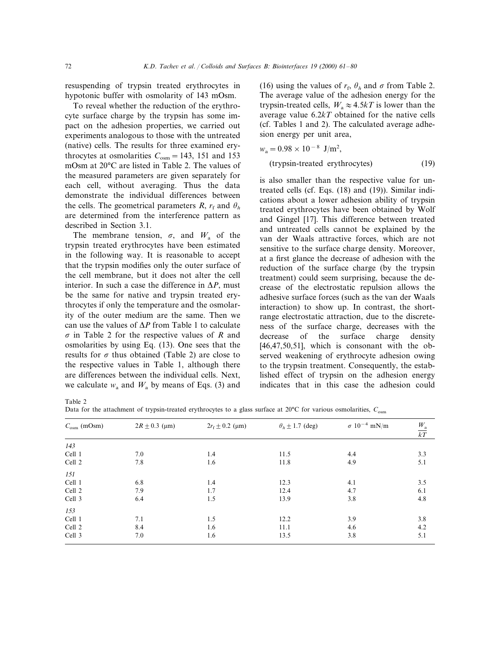resuspending of trypsin treated erythrocytes in hypotonic buffer with osmolarity of 143 mOsm.

To reveal whether the reduction of the erythrocyte surface charge by the trypsin has some impact on the adhesion properties, we carried out experiments analogous to those with the untreated (native) cells. The results for three examined erythrocytes at osmolarities  $C_{\text{osm}}=143$ , 151 and 153 mOsm at 20°C are listed in Table 2. The values of the measured parameters are given separately for each cell, without averaging. Thus the data demonstrate the individual differences between the cells. The geometrical parameters R,  $r_f$  and  $\theta_h$ are determined from the interference pattern as described in Section 3.1.

The membrane tension,  $\sigma$ , and  $W_a$  of the trypsin treated erythrocytes have been estimated in the following way. It is reasonable to accept that the trypsin modifies only the outer surface of the cell membrane, but it does not alter the cell interior. In such a case the difference in  $\Delta P$ , must be the same for native and trypsin treated erythrocytes if only the temperature and the osmolarity of the outer medium are the same. Then we can use the values of  $\Delta P$  from Table 1 to calculate  $\sigma$  in Table 2 for the respective values of R and osmolarities by using Eq. (13). One sees that the results for  $\sigma$  thus obtained (Table 2) are close to the respective values in Table 1, although there are differences between the individual cells. Next, we calculate  $w_a$  and  $W_a$  by means of Eqs. (3) and

(16) using the values of  $r_f$ ,  $\theta_h$  and  $\sigma$  from Table 2. The average value of the adhesion energy for the trypsin-treated cells,  $W_a \approx 4.5kT$  is lower than the average value  $6.2kT$  obtained for the native cells (cf. Tables 1 and 2). The calculated average adhesion energy per unit area,

$$
w_a = 0.98 \times 10^{-8} \text{ J/m}^2,
$$
  
(trypsin-treated erythrocytes) (19)

is also smaller than the respective value for untreated cells (cf. Eqs. (18) and (19)). Similar indications about a lower adhesion ability of trypsin treated erythrocytes have been obtained by Wolf and Gingel [17]. This difference between treated and untreated cells cannot be explained by the van der Waals attractive forces, which are not sensitive to the surface charge density. Moreover, at a first glance the decrease of adhesion with the reduction of the surface charge (by the trypsin treatment) could seem surprising, because the decrease of the electrostatic repulsion allows the adhesive surface forces (such as the van der Waals interaction) to show up. In contrast, the shortrange electrostatic attraction, due to the discreteness of the surface charge, decreases with the decrease of the surface charge density [46,47,50,51], which is consonant with the observed weakening of erythrocyte adhesion owing to the trypsin treatment. Consequently, the established effect of trypsin on the adhesion energy indicates that in this case the adhesion could

Table 2

Data for the attachment of trypsin-treated erythrocytes to a glass surface at 20 $^{\circ}$ C for various osmolarities,  $C_{\text{osm}}$ 

| $C_{\text{osm}}$ (mOsm) | $2R \pm 0.3$ (µm) | $2r_f \pm 0.2$ (µm) | $\theta_h \pm 1.7$ (deg) | $\sigma$ 10 <sup>-4</sup> mN/m | $\frac{W_{\rm a}}{kT}$ |
|-------------------------|-------------------|---------------------|--------------------------|--------------------------------|------------------------|
| 143                     |                   |                     |                          |                                |                        |
| Cell 1                  | 7.0               | 1.4                 | 11.5                     | 4.4                            | 3.3                    |
| Cell 2                  | 7.8               | 1.6                 | 11.8                     | 4.9                            | 5.1                    |
| 151                     |                   |                     |                          |                                |                        |
| Cell 1                  | 6.8               | 1.4                 | 12.3                     | 4.1                            | 3.5                    |
| Cell 2                  | 7.9               | 1.7                 | 12.4                     | 4.7                            | 6.1                    |
| Cell 3                  | 6.4               | 1.5                 | 13.9                     | 3.8                            | 4.8                    |
| 153                     |                   |                     |                          |                                |                        |
| Cell 1                  | 7.1               | 1.5                 | 12.2                     | 3.9                            | 3.8                    |
| Cell 2                  | 8.4               | 1.6                 | 11.1                     | 4.6                            | 4.2                    |
| Cell 3                  | 7.0               | 1.6                 | 13.5                     | 3.8                            | 5.1                    |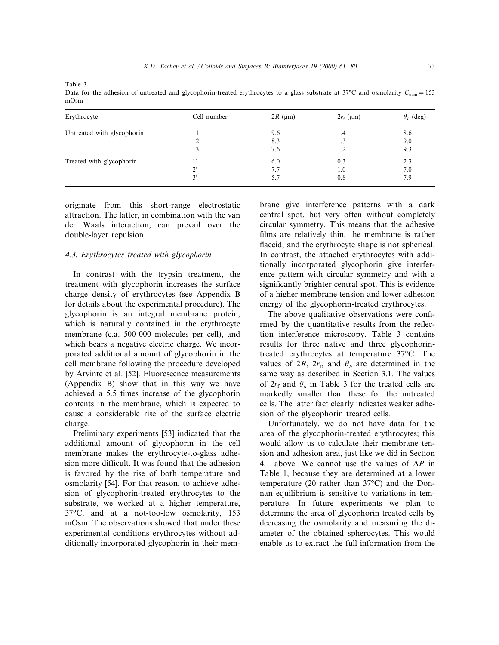Table 3

Data for the adhesion of untreated and glycophorin-treated erythrocytes to a glass substrate at 37°C and osmolarity  $C_{\text{osm}}=153$ mOsm

| Erythrocyte                | Cell number  | $2R \text{ } (\mu \text{m})$ | $2r_f$ (µm) | $\theta_h$ (deg) |
|----------------------------|--------------|------------------------------|-------------|------------------|
| Untreated with glycophorin |              | 9.6                          | 1.4         | 8.6              |
|                            |              | 8.3                          | 1.3         | 9.0              |
|                            |              | 7.6                          | 1.2         | 9.3              |
| Treated with glycophorin   | 1'           | 6.0                          | 0.3         | 2.3              |
|                            | $2^{\prime}$ | 7.7                          | 1.0         | 7.0              |
|                            | 3'           | 5.7                          | 0.8         | 7.9              |

originate from this short-range electrostatic attraction. The latter, in combination with the van der Waals interaction, can prevail over the double-layer repulsion.

# <sup>4</sup>.3. Erythrocytes treated with glycophorin

In contrast with the trypsin treatment, the treatment with glycophorin increases the surface charge density of erythrocytes (see Appendix B for details about the experimental procedure). The glycophorin is an integral membrane protein, which is naturally contained in the erythrocyte membrane (c.a. 500 000 molecules per cell), and which bears a negative electric charge. We incorporated additional amount of glycophorin in the cell membrane following the procedure developed by Arvinte et al. [52]. Fluorescence measurements (Appendix B) show that in this way we have achieved a 5.5 times increase of the glycophorin contents in the membrane, which is expected to cause a considerable rise of the surface electric charge.

Preliminary experiments [53] indicated that the additional amount of glycophorin in the cell membrane makes the erythrocyte-to-glass adhesion more difficult. It was found that the adhesion is favored by the rise of both temperature and osmolarity [54]. For that reason, to achieve adhesion of glycophorin-treated erythrocytes to the substrate, we worked at a higher temperature, 37°C, and at a not-too-low osmolarity, 153 mOsm. The observations showed that under these experimental conditions erythrocytes without additionally incorporated glycophorin in their membrane give interference patterns with a dark central spot, but very often without completely circular symmetry. This means that the adhesive films are relatively thin, the membrane is rather flaccid, and the erythrocyte shape is not spherical. In contrast, the attached erythrocytes with additionally incorporated glycophorin give interference pattern with circular symmetry and with a significantly brighter central spot. This is evidence of a higher membrane tension and lower adhesion energy of the glycophorin-treated erythrocytes.

The above qualitative observations were confirmed by the quantitative results from the reflection interference microscopy. Table 3 contains results for three native and three glycophorintreated erythrocytes at temperature 37°C. The values of 2R,  $2r_f$ , and  $\theta_h$  are determined in the same way as described in Section 3.1. The values of  $2r_f$  and  $\theta_h$  in Table 3 for the treated cells are markedly smaller than these for the untreated cells. The latter fact clearly indicates weaker adhesion of the glycophorin treated cells.

Unfortunately, we do not have data for the area of the glycophorin-treated erythrocytes; this would allow us to calculate their membrane tension and adhesion area, just like we did in Section 4.1 above. We cannot use the values of  $\Delta P$  in Table 1, because they are determined at a lower temperature (20 rather than 37°C) and the Donnan equilibrium is sensitive to variations in temperature. In future experiments we plan to determine the area of glycophorin treated cells by decreasing the osmolarity and measuring the diameter of the obtained spherocytes. This would enable us to extract the full information from the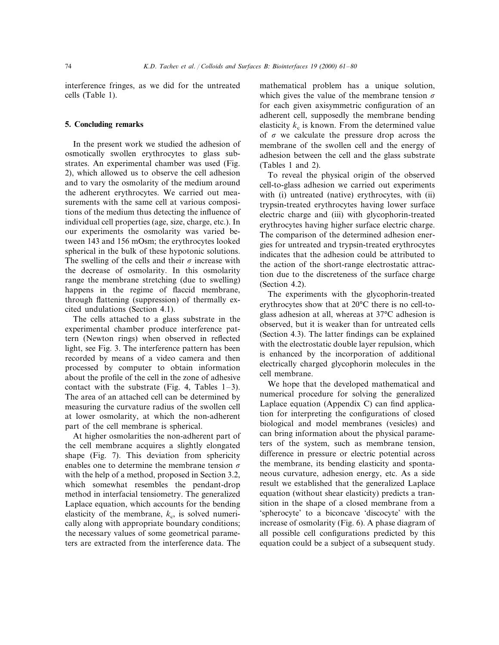interference fringes, as we did for the untreated cells (Table 1).

## 5. Concluding remarks

In the present work we studied the adhesion of osmotically swollen erythrocytes to glass substrates. An experimental chamber was used (Fig. 2), which allowed us to observe the cell adhesion and to vary the osmolarity of the medium around the adherent erythrocytes. We carried out measurements with the same cell at various compositions of the medium thus detecting the influence of individual cell properties (age, size, charge, etc.). In our experiments the osmolarity was varied between 143 and 156 mOsm; the erythrocytes looked spherical in the bulk of these hypotonic solutions. The swelling of the cells and their  $\sigma$  increase with the decrease of osmolarity. In this osmolarity range the membrane stretching (due to swelling) happens in the regime of flaccid membrane, through flattening (suppression) of thermally excited undulations (Section 4.1).

The cells attached to a glass substrate in the experimental chamber produce interference pattern (Newton rings) when observed in reflected light, see Fig. 3. The interference pattern has been recorded by means of a video camera and then processed by computer to obtain information about the profile of the cell in the zone of adhesive contact with the substrate (Fig. 4, Tables  $1-3$ ). The area of an attached cell can be determined by measuring the curvature radius of the swollen cell at lower osmolarity, at which the non-adherent part of the cell membrane is spherical.

At higher osmolarities the non-adherent part of the cell membrane acquires a slightly elongated shape (Fig. 7). This deviation from sphericity enables one to determine the membrane tension  $\sigma$ with the help of a method, proposed in Section 3.2, which somewhat resembles the pendant-drop method in interfacial tensiometry. The generalized Laplace equation, which accounts for the bending elasticity of the membrane,  $k_c$ , is solved numerically along with appropriate boundary conditions; the necessary values of some geometrical parameters are extracted from the interference data. The mathematical problem has a unique solution, which gives the value of the membrane tension  $\sigma$ for each given axisymmetric configuration of an adherent cell, supposedly the membrane bending elasticity  $k<sub>c</sub>$  is known. From the determined value of  $\sigma$  we calculate the pressure drop across the membrane of the swollen cell and the energy of adhesion between the cell and the glass substrate (Tables 1 and 2).

To reveal the physical origin of the observed cell-to-glass adhesion we carried out experiments with (i) untreated (native) erythrocytes, with (ii) trypsin-treated erythrocytes having lower surface electric charge and (iii) with glycophorin-treated erythrocytes having higher surface electric charge. The comparison of the determined adhesion energies for untreated and trypsin-treated erythrocytes indicates that the adhesion could be attributed to the action of the short-range electrostatic attraction due to the discreteness of the surface charge (Section 4.2).

The experiments with the glycophorin-treated erythrocytes show that at 20°C there is no cell-toglass adhesion at all, whereas at 37°C adhesion is observed, but it is weaker than for untreated cells (Section 4.3). The latter findings can be explained with the electrostatic double layer repulsion, which is enhanced by the incorporation of additional electrically charged glycophorin molecules in the cell membrane.

We hope that the developed mathematical and numerical procedure for solving the generalized Laplace equation (Appendix C) can find application for interpreting the configurations of closed biological and model membranes (vesicles) and can bring information about the physical parameters of the system, such as membrane tension, difference in pressure or electric potential across the membrane, its bending elasticity and spontaneous curvature, adhesion energy, etc. As a side result we established that the generalized Laplace equation (without shear elasticity) predicts a transition in the shape of a closed membrane from a 'spherocyte' to a biconcave 'discocyte' with the increase of osmolarity (Fig. 6). A phase diagram of all possible cell configurations predicted by this equation could be a subject of a subsequent study.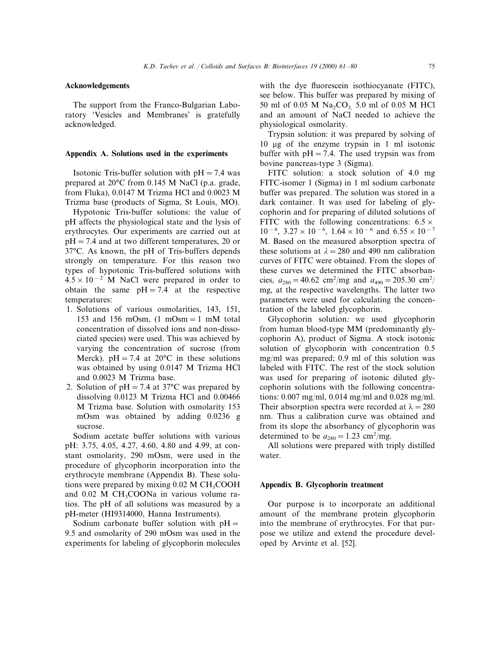## Acknowledgements

The support from the Franco-Bulgarian Laboratory 'Vesicles and Membranes' is gratefully acknowledged.

#### Appendix A. Solutions used in the experiments

Isotonic Tris-buffer solution with  $pH = 7.4$  was prepared at 20°C from 0.145 M NaCl (p.a. grade, from Fluka), 0.0147 M Trizma HCl and 0.0023 M Trizma base (products of Sigma, St Louis, MO).

Hypotonic Tris-buffer solutions: the value of pH affects the physiological state and the lysis of erythrocytes. Our experiments are carried out at  $pH = 7.4$  and at two different temperatures, 20 or 37°C. As known, the pH of Tris-buffers depends strongly on temperature. For this reason two types of hypotonic Tris-buffered solutions with  $4.5 \times 10^{-2}$  M NaCl were prepared in order to obtain the same  $pH = 7.4$  at the respective temperatures:

- 1. Solutions of various osmolarities, 143, 151, 153 and 156 mOsm,  $(1 \text{ mOsm} = 1 \text{ mM total})$ concentration of dissolved ions and non-dissociated species) were used. This was achieved by varying the concentration of sucrose (from Merck).  $pH = 7.4$  at 20 $^{\circ}$ C in these solutions was obtained by using 0.0147 M Trizma HCl and 0.0023 M Trizma base.
- 2. Solution of  $pH = 7.4$  at 37°C was prepared by dissolving 0.0123 M Trizma HCl and 0.00466 M Trizma base. Solution with osmolarity 153 mOsm was obtained by adding 0.0236 g sucrose.

Sodium acetate buffer solutions with various pH: 3.75, 4.05, 4.27, 4.60, 4.80 and 4.99, at constant osmolarity, 290 mOsm, were used in the procedure of glycophorin incorporation into the erythrocyte membrane (Appendix B). These solutions were prepared by mixing  $0.02$  M CH<sub>3</sub>COOH and  $0.02$  M CH<sub>3</sub>COONa in various volume ratios. The pH of all solutions was measured by a pH-meter (HI9314000, Hanna Instruments).

Sodium carbonate buffer solution with  $pH=$ 9.5 and osmolarity of 290 mOsm was used in the experiments for labeling of glycophorin molecules with the dye fluorescein isothiocyanate (FITC), see below. This buffer was prepared by mixing of 50 ml of 0.05 M  $\text{Na}_2\text{CO}_3$  5.0 ml of 0.05 M HCl and an amount of NaCl needed to achieve the physiological osmolarity.

Trypsin solution: it was prepared by solving of 10 mg of the enzyme trypsin in 1 ml isotonic buffer with  $pH = 7.4$ . The used trypsin was from bovine pancreas-type 3 (Sigma).

FITC solution: a stock solution of 4.0 mg FITC-isomer 1 (Sigma) in 1 ml sodium carbonate buffer was prepared. The solution was stored in a dark container. It was used for labeling of glycophorin and for preparing of diluted solutions of FITC with the following concentrations:  $6.5 \times$  $10^{-6}$ ,  $3.27 \times 10^{-6}$ ,  $1.64 \times 10^{-6}$  and  $6.55 \times 10^{-7}$ M. Based on the measured absorption spectra of these solutions at  $\lambda = 280$  and 490 nm calibration curves of FITC were obtained. From the slopes of these curves we determined the FITC absorbancies,  $a_{280} = 40.62$  cm<sup>2</sup>/mg and  $a_{490} = 205.30$  cm<sup>2</sup>/ mg, at the respective wavelengths. The latter two parameters were used for calculating the concentration of the labeled glycophorin.

Glycophorin solution: we used glycophorin from human blood-type MM (predominantly glycophorin A), product of Sigma. A stock isotonic solution of glycophorin with concentration 0.5 mg/ml was prepared; 0.9 ml of this solution was labeled with FITC. The rest of the stock solution was used for preparing of isotonic diluted glycophorin solutions with the following concentrations: 0.007 mg/ml, 0.014 mg/ml and 0.028 mg/ml. Their absorption spectra were recorded at  $\lambda = 280$ nm. Thus a calibration curve was obtained and from its slope the absorbancy of glycophorin was determined to be  $a_{280} = 1.23$  cm<sup>2</sup>/mg.

All solutions were prepared with triply distilled water.

#### Appendix B. Glycophorin treatment

Our purpose is to incorporate an additional amount of the membrane protein glycophorin into the membrane of erythrocytes. For that purpose we utilize and extend the procedure developed by Arvinte et al. [52].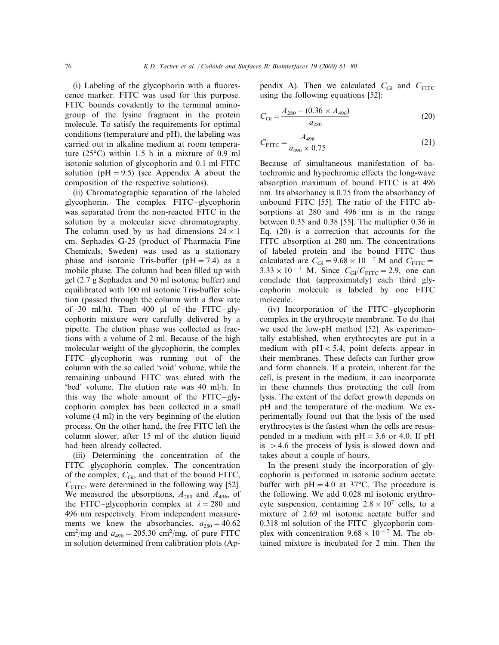(i) Labeling of the glycophorin with a fluorescence marker. FITC was used for this purpose. FITC bounds covalently to the terminal aminogroup of the lysine fragment in the protein molecule. To satisfy the requirements for optimal conditions (temperature and pH), the labeling was carried out in alkaline medium at room temperature (25°C) within 1.5 h in a mixture of 0.9 ml isotonic solution of glycophorin and 0.1 ml FITC solution ( $pH = 9.5$ ) (see Appendix A about the composition of the respective solutions).

(ii) Chromatographic separation of the labeled glycophorin. The complex FITC–glycophorin was separated from the non-reacted FITC in the solution by a molecular sieve chromatography. The column used by us had dimensions  $24 \times 1$ cm. Sephadex G-25 (product of Pharmacia Fine Chemicals, Sweden) was used as a stationary phase and isotonic Tris-buffer ( $pH = 7.4$ ) as a mobile phase. The column had been filled up with gel (2.7 g Sephadex and 50 ml isotonic buffer) and equilibrated with 100 ml isotonic Tris-buffer solution (passed through the column with a flow rate of 30 ml/h). Then 400  $\mu$ l of the FITC–glycophorin mixture were carefully delivered by a pipette. The elution phase was collected as fractions with a volume of 2 ml. Because of the high molecular weight of the glycophorin, the complex FITC–glycophorin was running out of the column with the so called 'void' volume, while the remaining unbound FITC was eluted with the 'bed' volume. The elution rate was 40 ml/h. In this way the whole amount of the FITC–glycophorin complex has been collected in a small volume (4 ml) in the very beginning of the elution process. On the other hand, the free FITC left the column slower, after 15 ml of the elution liquid had been already collected.

(iii) Determining the concentration of the FITC–glycophorin complex. The concentration of the complex,  $C_{\text{Gl}}$ , and that of the bound FITC,  $C_{\text{FITC}}$ , were determined in the following way [52]. We measured the absorptions,  $A_{280}$  and  $A_{496}$ , of the FITC–glycophorin complex at  $\lambda = 280$  and 496 nm respectively. From independent measurements we knew the absorbancies,  $a_{280} = 40.62$ cm<sup>2</sup>/mg and  $a_{490} = 205.30$  cm<sup>2</sup>/mg, of pure FITC in solution determined from calibration plots (Appendix A). Then we calculated  $C_{\text{GI}}$  and  $C_{\text{FITC}}$ using the following equations [52]:

$$
C_{\text{Gl}} = \frac{A_{280} - (0.36 \times A_{496})}{a_{280}}\tag{20}
$$

$$
C_{\text{FTTC}} = \frac{A_{496}}{a_{490} \times 0.75} \tag{21}
$$

Because of simultaneous manifestation of batochromic and hypochromic effects the long-wave absorption maximum of bound FITC is at 496 nm. Its absorbancy is 0.75 from the absorbancy of unbound FITC [55]. The ratio of the FITC absorptions at 280 and 496 nm is in the range between 0.35 and 0.38 [55]. The multiplier 0.36 in Eq. (20) is a correction that accounts for the FITC absorption at 280 nm. The concentrations of labeled protein and the bound FITC thus calculated are  $C_{\text{GI}}=9.68\times10^{-7}$  M and  $C_{\text{FITC}}=$  $3.33 \times 10^{-7}$  M. Since  $C_{\text{Gl}}/C_{\text{FITC}} = 2.9$ , one can conclude that (approximately) each third glycophorin molecule is labeled by one FITC molecule.

(iv) Incorporation of the FITC–glycophorin complex in the erythrocyte membrane. To do that we used the low-pH method [52]. As experimentally established, when erythrocytes are put in a medium with  $pH < 5.4$ , point defects appear in their membranes. These defects can further grow and form channels. If a protein, inherent for the cell, is present in the medium, it can incorporate in these channels thus protecting the cell from lysis. The extent of the defect growth depends on pH and the temperature of the medium. We experimentally found out that the lysis of the used erythrocytes is the fastest when the cells are resuspended in a medium with  $pH = 3.6$  or 4.0. If  $pH$ is  $> 4.6$  the process of lysis is slowed down and takes about a couple of hours.

In the present study the incorporation of glycophorin is performed in isotonic sodium acetate buffer with  $pH = 4.0$  at 37°C. The procedure is the following. We add 0.028 ml isotonic erythrocyte suspension, containing  $2.8 \times 10^7$  cells, to a mixture of 2.69 ml isotonic acetate buffer and 0.318 ml solution of the FITC–glycophorin complex with concentration  $9.68 \times 10^{-7}$  M. The obtained mixture is incubated for 2 min. Then the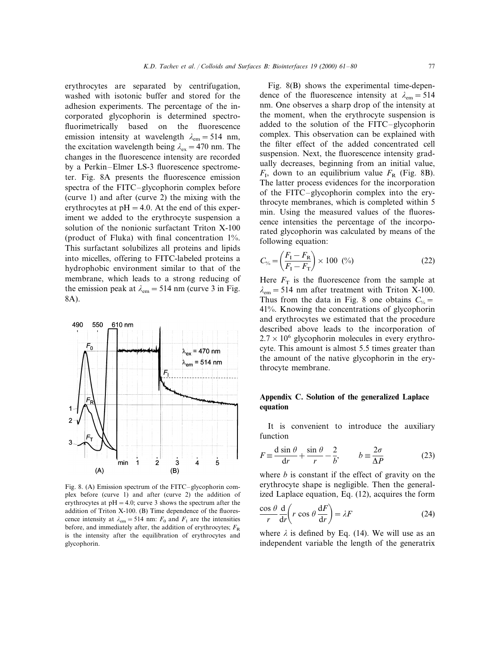erythrocytes are separated by centrifugation, washed with isotonic buffer and stored for the adhesion experiments. The percentage of the incorporated glycophorin is determined spectrofluorimetrically based on the fluorescence emission intensity at wavelength  $\lambda_{em} = 514$  nm, the excitation wavelength being  $\lambda_{\text{ex}}=470$  nm. The changes in the fluorescence intensity are recorded by a Perkin–Elmer LS-3 fluorescence spectrometer. Fig. 8A presents the fluorescence emission spectra of the FITC–glycophorin complex before (curve 1) and after (curve 2) the mixing with the erythrocytes at  $pH = 4.0$ . At the end of this experiment we added to the erythrocyte suspension a solution of the nonionic surfactant Triton X-100 (product of Fluka) with final concentration 1%. This surfactant solubilizes all proteins and lipids into micelles, offering to FITC-labeled proteins a hydrophobic environment similar to that of the membrane, which leads to a strong reducing of the emission peak at  $\lambda_{em}$  = 514 nm (curve 3 in Fig. 8A).



Fig. 8. (A) Emission spectrum of the FITC–glycophorin complex before (curve 1) and after (curve 2) the addition of erythrocytes at  $pH = 4.0$ ; curve 3 shows the spectrum after the addition of Triton X-100. (B) Time dependence of the fluorescence intensity at  $\lambda_{em}$  = 514 nm:  $F_0$  and  $F_1$  are the intensities before, and immediately after, the addition of erythrocytes;  $F_R$ is the intensity after the equilibration of erythrocytes and glycophorin.

Fig. 8(B) shows the experimental time-dependence of the fluorescence intensity at  $\lambda_{em} = 514$ nm. One observes a sharp drop of the intensity at the moment, when the erythrocyte suspension is added to the solution of the FITC–glycophorin complex. This observation can be explained with the filter effect of the added concentrated cell suspension. Next, the fluorescence intensity gradually decreases, beginning from an initial value,  $F<sub>I</sub>$ , down to an equilibrium value  $F<sub>R</sub>$  (Fig. 8B). The latter process evidences for the incorporation of the FITC–glycophorin complex into the erythrocyte membranes, which is completed within 5 min. Using the measured values of the fluorescence intensities the percentage of the incorporated glycophorin was calculated by means of the following equation:

$$
C_{\%} = \left(\frac{F_{\rm I} - F_{\rm R}}{F_{\rm I} - F_{\rm T}}\right) \times 100 \, \, \text{(%)} \tag{22}
$$

Here  $F<sub>T</sub>$  is the fluorescence from the sample at  $\lambda_{\rm em}=514$  nm after treatment with Triton X-100. Thus from the data in Fig. 8 one obtains  $C_{\%}$  = 41%. Knowing the concentrations of glycophorin and erythrocytes we estimated that the procedure described above leads to the incorporation of  $2.7 \times 10^6$  glycophorin molecules in every erythrocyte. This amount is almost 5.5 times greater than the amount of the native glycophorin in the erythrocyte membrane.

# Appendix C. Solution of the generalized Laplace equation

It is convenient to introduce the auxiliary function

$$
F \equiv \frac{d \sin \theta}{dr} + \frac{\sin \theta}{r} - \frac{2}{b}, \qquad b \equiv \frac{2\sigma}{\Delta P}
$$
 (23)

where  $b$  is constant if the effect of gravity on the erythrocyte shape is negligible. Then the generalized Laplace equation, Eq. (12), acquires the form

$$
\frac{\cos\theta}{r}\frac{d}{dr}\left(r\cos\theta\frac{dF}{dr}\right) = \lambda F\tag{24}
$$

where  $\lambda$  is defined by Eq. (14). We will use as an independent variable the length of the generatrix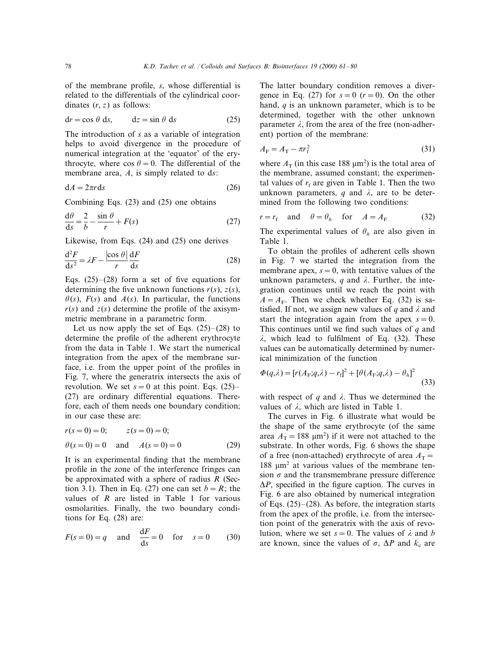of the membrane profile, s, whose differential is related to the differentials of the cylindrical coordinates  $(r, z)$  as follows:

$$
dr = \cos \theta \, ds, \qquad dz = \sin \theta \, ds \tag{25}
$$

The introduction of  $s$  as a variable of integration helps to avoid divergence in the procedure of numerical integration at the 'equator' of the erythrocyte, where  $\cos \theta = 0$ . The differential of the membrane area,  $A$ , is simply related to ds:

$$
dA = 2\pi r ds \tag{26}
$$

Combining Eqs. (23) and (25) one obtains

$$
\frac{d\theta}{ds} = \frac{2}{b} - \frac{\sin \theta}{r} + F(s)
$$
 (27)

Likewise, from Eqs. (24) and (25) one derives

$$
\frac{d^2F}{ds^2} = \lambda F - \frac{|\cos \theta|}{r} \frac{dF}{ds}
$$
 (28)

Eqs.  $(25)$ – $(28)$  form a set of five equations for determining the five unknown functions  $r(s)$ ,  $z(s)$ ,  $\theta(s)$ ,  $F(s)$  and  $A(s)$ . In particular, the functions  $r(s)$  and  $z(s)$  determine the profile of the axisymmetric membrane in a parametric form.

Let us now apply the set of Eqs.  $(25)$ – $(28)$  to determine the profile of the adherent erythrocyte from the data in Table 1. We start the numerical integration from the apex of the membrane surface, i.e. from the upper point of the profiles in Fig. 7, where the generatrix intersects the axis of revolution. We set  $s=0$  at this point. Eqs. (25)– (27) are ordinary differential equations. Therefore, each of them needs one boundary condition; in our case these are:

$$
r(s = 0) = 0;
$$
  $z(s = 0) = 0;$   
\n $\theta(s = 0) = 0$  and  $A(s = 0) = 0$  (29)

It is an experimental finding that the membrane profile in the zone of the interference fringes can be approximated with a sphere of radius  $R$  (Section 3.1). Then in Eq. (27) one can set  $b = R$ ; the values of R are listed in Table 1 for various osmolarities. Finally, the two boundary conditions for Eq. (28) are:

$$
F(s=0) = q \quad \text{and} \quad \frac{\text{d}F}{\text{d}s} = 0 \quad \text{for} \quad s = 0 \tag{30}
$$

The latter boundary condition removes a divergence in Eq. (27) for  $s=0$  ( $r=0$ ). On the other hand, q is an unknown parameter, which is to be determined, together with the other unknown parameter  $\lambda$ , from the area of the free (non-adherent) portion of the membrane:

$$
A_{\rm F} = A_{\rm T} - \pi r_{\rm f}^2 \tag{31}
$$

where  $A_T$  (in this case 188  $\mu$ m<sup>2</sup>) is the total area of the membrane, assumed constant; the experimental values of  $r_f$  are given in Table 1. Then the two unknown parameters, q and  $\lambda$ , are to be determined from the following two conditions:

$$
r = r_f
$$
 and  $\theta = \theta_h$  for  $A = A_F$  (32)

The experimental values of  $\theta_h$  are also given in Table 1.

To obtain the profiles of adherent cells shown in Fig. 7 we started the integration from the membrane apex,  $s=0$ , with tentative values of the unknown parameters, q and  $\lambda$ . Further, the integration continues until we reach the point with  $A=A_{\rm F}$ . Then we check whether Eq. (32) is satisfied. If not, we assign new values of q and  $\lambda$  and start the integration again from the apex  $s=0$ . This continues until we find such values of  $q$  and  $\lambda$ , which lead to fulfilment of Eq. (32). These values can be automatically determined by numerical minimization of the function

$$
\Phi(q,\lambda) = [r(A_{\mathrm{F}};q,\lambda) - r_{\mathrm{f}}]^2 + [\theta(A_{\mathrm{F}};q,\lambda) - \theta_h]^2
$$
\n(33)

with respect of q and  $\lambda$ . Thus we determined the values of  $\lambda$ , which are listed in Table 1.

The curves in Fig. 6 illustrate what would be the shape of the same erythrocyte (of the same area  $A_T = 188 \text{ }\mu\text{m}^2$ ) if it were not attached to the substrate. In other words, Fig. 6 shows the shape of a free (non-attached) erythrocyte of area  $A_T=$ 188  $\mu$ m<sup>2</sup> at various values of the membrane tension  $\sigma$  and the transmembrane pressure difference  $\Delta P$ , specified in the figure caption. The curves in Fig. 6 are also obtained by numerical integration of Eqs.  $(25)$ – $(28)$ . As before, the integration starts from the apex of the profile, i.e. from the intersection point of the generatrix with the axis of revolution, where we set  $s=0$ . The values of  $\lambda$  and b are known, since the values of  $\sigma$ ,  $\Delta P$  and  $k_c$  are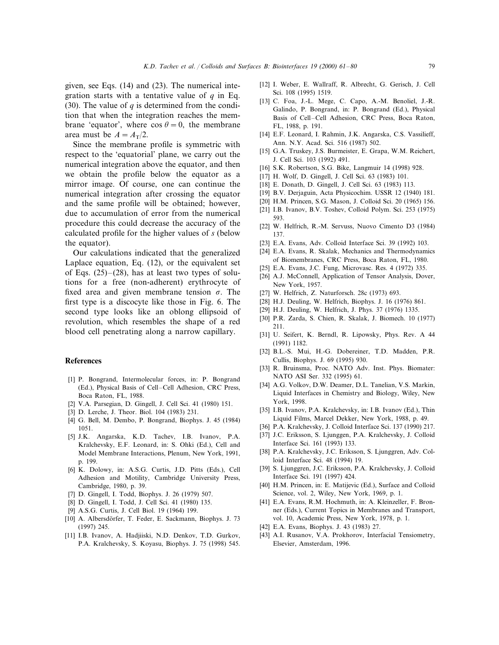given, see Eqs. (14) and (23). The numerical integration starts with a tentative value of  $q$  in Eq. (30). The value of  $q$  is determined from the condition that when the integration reaches the membrane 'equator', where  $\cos \theta = 0$ , the membrane area must be  $A=A_T/2$ .

Since the membrane profile is symmetric with respect to the 'equatorial' plane, we carry out the numerical integration above the equator, and then we obtain the profile below the equator as a mirror image. Of course, one can continue the numerical integration after crossing the equator and the same profile will be obtained; however, due to accumulation of error from the numerical procedure this could decrease the accuracy of the calculated profile for the higher values of s (below the equator).

Our calculations indicated that the generalized Laplace equation, Eq. (12), or the equivalent set of Eqs.  $(25)$ – $(28)$ , has at least two types of solutions for a free (non-adherent) erythrocyte of fixed area and given membrane tension  $\sigma$ . The first type is a discocyte like those in Fig. 6. The second type looks like an oblong ellipsoid of revolution, which resembles the shape of a red blood cell penetrating along a narrow capillary.

## References

- [1] P. Bongrand, Intermolecular forces, in: P. Bongrand (Ed.), Physical Basis of Cell–Cell Adhesion, CRC Press, Boca Raton, FL, 1988.
- [2] V.A. Parsegian, D. Gingell, J. Cell Sci. 41 (1980) 151.
- [3] D. Lerche, J. Theor. Biol. 104 (1983) 231.
- [4] G. Bell, M. Dembo, P. Bongrand, Biophys. J. 45 (1984) 1051.
- [5] J.K. Angarska, K.D. Tachev, I.B. Ivanov, P.A. Kralchevsky, E.F. Leonard, in: S. Ohki (Ed.), Cell and Model Membrane Interactions, Plenum, New York, 1991, p. 199.
- [6] K. Dolowy, in: A.S.G. Curtis, J.D. Pitts (Eds.), Cell Adhesion and Motility, Cambridge University Press, Cambridge, 1980, p. 39.
- [7] D. Gingell, I. Todd, Biophys. J. 26 (1979) 507.
- [8] D. Gingell, I. Todd, J. Cell Sci. 41 (1980) 135.
- [9] A.S.G. Curtis, J. Cell Biol. 19 (1964) 199.
- [10] A. Albersdörfer, T. Feder, E. Sackmann, Biophys. J. 73 (1997) 245.
- [11] I.B. Ivanov, A. Hadjiiski, N.D. Denkov, T.D. Gurkov, P.A. Kralchevsky, S. Koyasu, Biophys. J. 75 (1998) 545.
- [12] I. Weber, E. Wallraff, R. Albrecht, G. Gerisch, J. Cell Sci. 108 (1995) 1519.
- [13] C. Foa, J.-L. Mege, C. Capo, A.-M. Benoliel, J.-R. Galindo, P. Bongrand, in: P. Bongrand (Ed.), Physical Basis of Cell–Cell Adhesion, CRC Press, Boca Raton, FL, 1988, p. 191.
- [14] E.F. Leonard, I. Rahmin, J.K. Angarska, C.S. Vassilieff, Ann. N.Y. Acad. Sci. 516 (1987) 502.
- [15] G.A. Truskey, J.S. Burmeister, E. Grapa, W.M. Reichert, J. Cell Sci. 103 (1992) 491.
- [16] S.K. Robertson, S.G. Bike, Langmuir 14 (1998) 928.
- [17] H. Wolf, D. Gingell, J. Cell Sci. 63 (1983) 101.
- [18] E. Donath, D. Gingell, J. Cell Sci. 63 (1983) 113.
- [19] B.V. Derjaguin, Acta Physicochim. USSR 12 (1940) 181.
- [20] H.M. Princen, S.G. Mason, J. Colloid Sci. 20 (1965) 156.
- [21] I.B. Ivanov, B.V. Toshev, Colloid Polym. Sci. 253 (1975) 593.
- [22] W. Helfrich, R.-M. Servuss, Nuovo Cimento D3 (1984) 137.
- [23] E.A. Evans, Adv. Colloid Interface Sci. 39 (1992) 103.
- [24] E.A. Evans, R. Skalak, Mechanics and Thermodynamics of Biomembranes, CRC Press, Boca Raton, FL, 1980.
- [25] E.A. Evans, J.C. Fung, Microvasc. Res. 4 (1972) 335.
- [26] A.J. McConnell, Application of Tensor Analysis, Dover, New York, 1957.
- [27] W. Helfrich, Z. Naturforsch. 28c (1973) 693.
- [28] H.J. Deuling, W. Helfrich, Biophys. J. 16 (1976) 861.
- [29] H.J. Deuling, W. Helfrich, J. Phys. 37 (1976) 1335.
- [30] P.R. Zarda, S. Chien, R. Skalak, J. Biomech. 10 (1977) 211.
- [31] U. Seifert, K. Berndl, R. Lipowsky, Phys. Rev. A 44 (1991) 1182.
- [32] B.L.-S. Mui, H.-G. Dobereiner, T.D. Madden, P.R. Cullis, Biophys. J. 69 (1995) 930.
- [33] R. Bruinsma, Proc. NATO Adv. Inst. Phys. Biomater: NATO ASI Ser. 332 (1995) 61.
- [34] A.G. Volkov, D.W. Deamer, D.L. Tanelian, V.S. Markin, Liquid Interfaces in Chemistry and Biology, Wiley, New York, 1998.
- [35] I.B. Ivanov, P.A. Kralchevsky, in: I.B. Ivanov (Ed.), Thin Liquid Films, Marcel Dekker, New York, 1988, p. 49.
- [36] P.A. Kralchevsky, J. Colloid Interface Sci. 137 (1990) 217.
- [37] J.C. Eriksson, S. Ljunggen, P.A. Kralchevsky, J. Colloid Interface Sci. 161 (1993) 133.
- [38] P.A. Kralchevsky, J.C. Eriksson, S. Ljunggren, Adv. Colloid Interface Sci. 48 (1994) 19.
- [39] S. Ljunggren, J.C. Eriksson, P.A. Kralchevsky, J. Colloid Interface Sci. 191 (1997) 424.
- [40] H.M. Princen, in: E. Matijevic (Ed.), Surface and Colloid Science, vol. 2, Wiley, New York, 1969, p. 1.
- [41] E.A. Evans, R.M. Hochmuth, in: A. Kleinzeller, F. Bronner (Eds.), Current Topics in Membranes and Transport, vol. 10, Academic Press, New York, 1978, p. 1.
- [42] E.A. Evans, Biophys. J. 43 (1983) 27.
- [43] A.I. Rusanov, V.A. Prokhorov, Interfacial Tensiometry, Elsevier, Amsterdam, 1996.